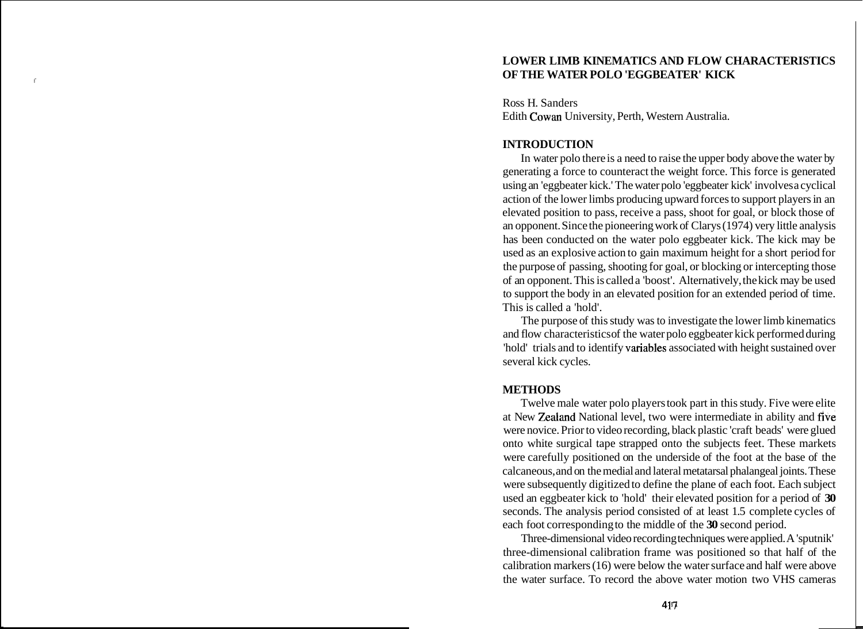# **LOWER LIMB KINEMATICS AND FLOW CHARACTERISTICS**  ( **OF THE WATER POLO 'EGGBEATER' KICK**

Ross H. Sanders Edith Cowan University, Perth, Western Australia.

# **INTRODUCTION**

In water polo there is a need to raise the upper body above the water by generating a force to counteract the weight force. This force is generated using an 'eggbeater kick.' The water polo 'eggbeater kick' involves a cyclical action of the lower limbs producing upward forces to support players in an elevated position to pass, receive a pass, shoot for goal, or block those of an opponent. Since the pioneering work of Clarys (1974) very little analysis has been conducted on the water polo eggbeater kick. The kick may be used as an explosive action to gain maximum height for a short period for the purpose of passing, shooting for goal, or blocking or intercepting those of an opponent. This is called a 'boost'. Alternatively, the kick may be used to support the body in an elevated position for an extended period of time. This is called a 'hold'.

The purpose of this study was to investigate the lower limb kinematics and flow characteristics of the water polo eggbeater kick performed during 'hold' trials and to identify vatiables associated with height sustained over several kick cycles.

#### **METHODS**

Twelve male water polo players took part in this study. Five were elite at New Zealand National level, two were intermediate in ability and five were novice. Prior to video recording, black plastic 'craft beads' were glued onto white surgical tape strapped onto the subjects feet. These markets were carefully positioned on the underside of the foot at the base of the calcaneous, and on the medial and lateral metatarsal phalangeal joints. These were subsequently digitized to define the plane of each foot. Each subject used an eggbeater kick to 'hold' their elevated position for a period of **30**  seconds. The analysis period consisted of at least 1.5 complete cycles of each foot corresponding to the middle of the **30** second period.

Three-dimensional video recording techniques were applied. A 'sputnik' three-dimensional calibration frame was positioned so that half of the calibration markers  $(16)$  were below the water surface and half were above the water surface. To record the above water motion two VHS cameras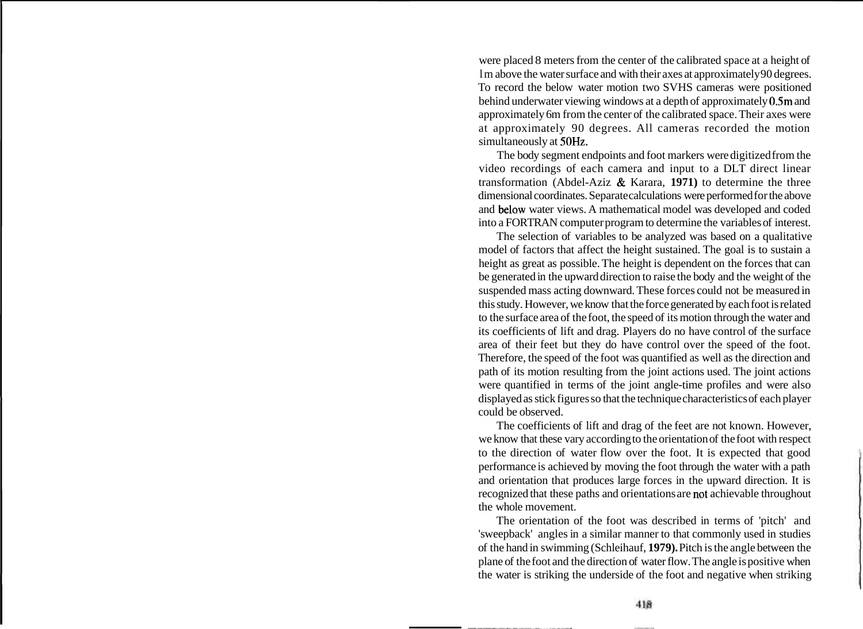were placed 8 meters from the center of the calibrated space at a height of lm above the water surface and with their axes at approximately 90 degrees. To record the below water motion two SVHS cameras were positioned behind underwater viewing windows at a depth of approximately 0.5m and approximately 6m from the center of the calibrated space. Their axes were at approximately 90 degrees. All cameras recorded the motion simultaneously at 50Hz.

The body segment endpoints and foot markers were digitized from the video recordings of each camera and input to a DLT direct linear transformation (Abdel-Aziz & Karara, **1971)** to determine the three dimensional coordinates. Separate calculations were performed for the above and below water views. A mathematical model was developed and coded into a FORTRAN computer program to determine the variables of interest.

The selection of variables to be analyzed was based on a qualitative model of factors that affect the height sustained. The goal is to sustain a height as great as possible. The height is dependent on the forces that can be generated in the upward direction to raise the body and the weight of the suspended mass acting downward. These forces could not be measured in this study. However, we know that the force generated by each foot is related to the surface area of the foot, the speed of its motion through the water and its coefficients of lift and drag. Players do no have control of the surface area of their feet but they do have control over the speed of the foot. Therefore, the speed of the foot was quantified as well as the direction and path of its motion resulting from the joint actions used. The joint actions were quantified in terms of the joint angle-time profiles and were also displayed as stick figures so that the technique characteristics of each player could be observed.

The coefficients of lift and drag of the feet are not known. However, we know that these vary according to the orientation of the foot with respect to the direction of water flow over the foot. It is expected that good performance is achieved by moving the foot through the water with a path and orientation that produces large forces in the upward direction. It is recognized that these paths and orientations are not achievable throughout the whole movement.

The orientation of the foot was described in terms of 'pitch' and 'sweepback' angles in a similar manner to that commonly used in studies of the hand in swimming (Schleihauf, **1979).** Pitch is the angle between the plane of the foot and the direction of water flow. The angle is positive when the water is striking the underside of the foot and negative when striking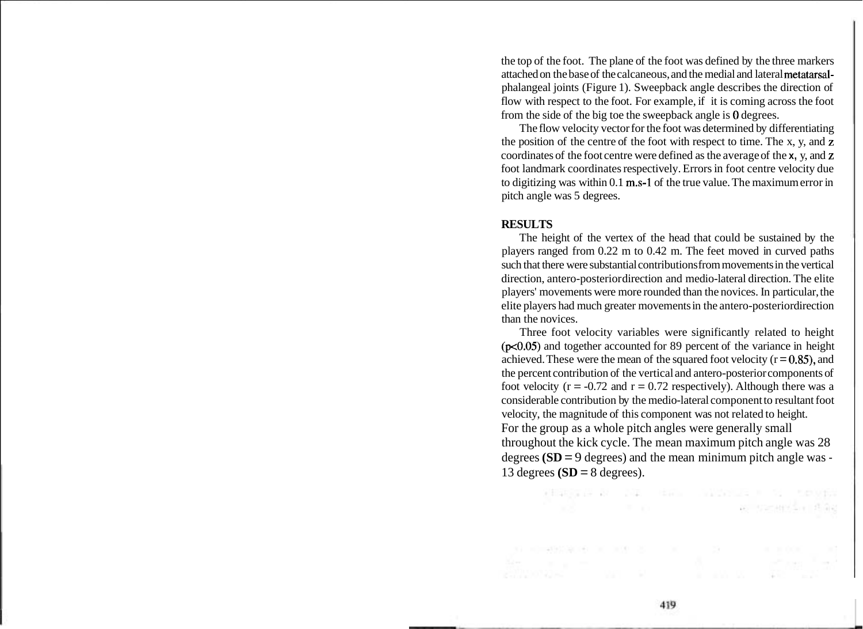the top of the foot. The plane of the foot was defined by the three markers attached on the base of the calcaneous, and the medial and lateral metatarsalphalangeal joints (Figure 1). Sweepback angle describes the direction of flow with respect to the foot. For example, if it is coming across the foot from the side of the big toe the sweepback angle is 0 degrees.

The flow velocity vector for the foot was determined by differentiating the position of the centre of the foot with respect to time. The x, y, and z coordinates of the foot centre were defined as the average of the **x,** y, and z foot landmark coordinates respectively. Errors in foot centre velocity due to digitizing was within 0.1 m.s-1 of the true value. The maximum error in pitch angle was 5 degrees.

#### **RESULTS**

The height of the vertex of the head that could be sustained by the players ranged from 0.22 m to 0.42 m. The feet moved in curved paths such that there were substantial contributions from movements in the vertical direction, antero-posterior direction and medio-lateral direction. The elite players' movements were more rounded than the novices. In particular, the elite players had much greater movements in the antero-posterior direction than the novices.

Three foot velocity variables were significantly related to height (p<0.05) and together accounted for 89 percent of the variance in height achieved. These were the mean of the squared foot velocity  $(r = 0.85)$ , and the percent contribution of the vertical and antero-posterior components of foot velocity ( $r = -0.72$  and  $r = 0.72$  respectively). Although there was a considerable contribution by the medio-lateral component to resultant foot velocity, the magnitude of this component was not related to height. For the group as a whole pitch angles were generally small throughout the kick cycle. The mean maximum pitch angle was 28 degrees **(SD** = 9 degrees) and the mean minimum pitch angle was - 13 degrees  $(SD = 8$  degrees).

> FERENCE RESIDENCE IN THE MANAGEMENT CONTROL and the most control with the state of the

Arthur Saint Communication of the Communication of the Communication of the Communication of the Communication of the Communication of the Communication of the Communication of the Communication of the Communication of the

 $\label{eq:3.1} (1 - 1) = \frac{1}{2} \left( \frac{1}{2} \sum_{i=1}^n \frac{1}{2} \left( \frac{1}{2} \sum_{i=1}^n \frac{1}{2} \right) \left( \frac{1}{2} \sum_{i=1}^n \frac{1}{2} \right) \right) \qquad \qquad \text{if} \quad \frac{1}{2} \sum_{i=1}^n \frac{1}{2} \sum_{i=1}^n \frac{1}{2} \left( \frac{1}{2} \sum_{i=1}^n \frac{1}{2} \sum_{i=1}^n \frac{1}{2} \right) \qquad \qquad \text{if} \quad$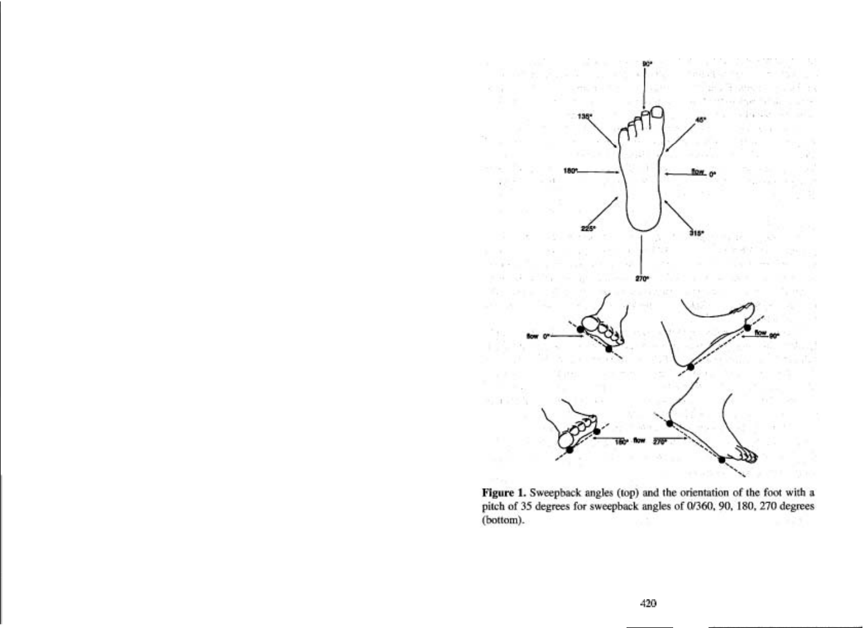

Figure 1. Sweepback angles (top) and the orientation of the foot with a pitch of 35 degrees for sweepback angles of 0/360, 90, 180, 270 degrees (bottom).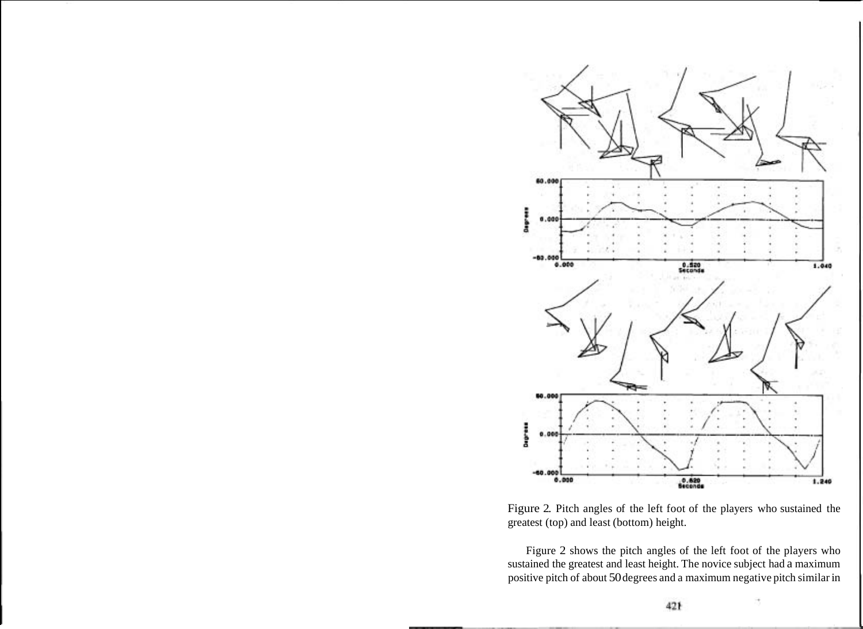

Figure 2. Pitch angles of the left foot of the players who sustained the greatest (top) and least (bottom) height.

Figure 2 shows the pitch angles of the left foot of the players who sustained the greatest and least height. The novice subject had a maximum positive pitch of about 50 degrees and a maximum negative pitch similar in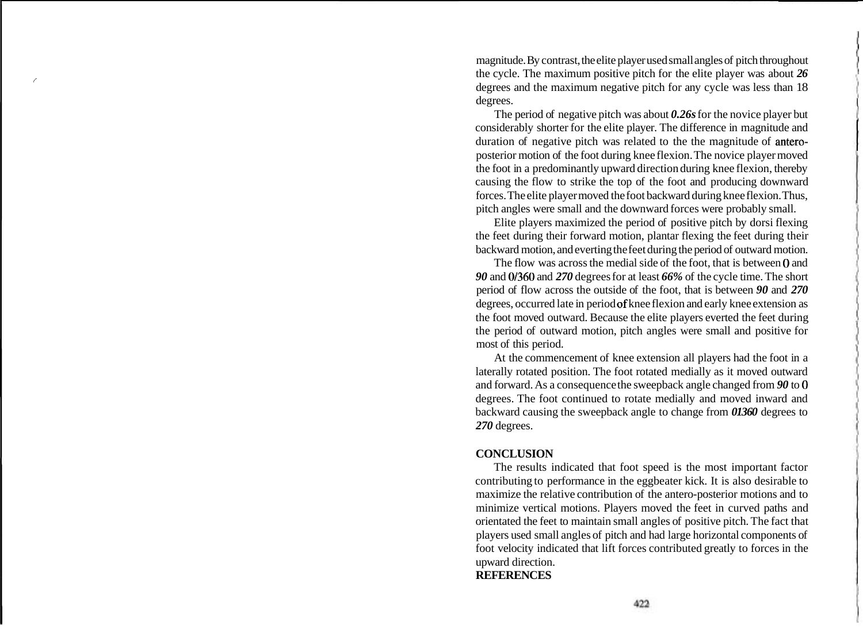magnitude. By contrast, the elite player used small angles of pitch throughout the cycle. The maximum positive pitch for the elite player was about  $26$ degrees and the maximum negative pitch for any cycle was less than 18 degrees.

The period of negative pitch was about *0.26s* for the novice player but considerably shorter for the elite player. The difference in magnitude and duration of negative pitch was related to the the magnitude of anteroposterior motion of the foot during knee flexion. The novice player moved the foot in a predominantly upward direction during knee flexion, thereby causing the flow to strike the top of the foot and producing downward forces. The elite player moved the foot backward during knee flexion. Thus, pitch angles were small and the downward forces were probably small.

Elite players maximized the period of positive pitch by dorsi flexing the feet during their forward motion, plantar flexing the feet during their backward motion, and everting the feet during the period of outward motion.

The flow was across the medial side of the foot, that is between *0* and *90* and *01360* and *270* degrees for at least *66%* of the cycle time. The short period of flow across the outside of the foot, that is between *90* and *270*  degrees, occurred late in period of knee flexion and early knee extension as the foot moved outward. Because the elite players everted the feet during the period of outward motion, pitch angles were small and positive for most of this period.

At the commencement of knee extension all players had the foot in a laterally rotated position. The foot rotated medially as it moved outward and forward. As a consequence the sweepback angle changed from *90* to *0*  degrees. The foot continued to rotate medially and moved inward and backward causing the sweepback angle to change from *01360* degrees to *270* degrees.

## **CONCLUSION**

The results indicated that foot speed is the most important factor contributing to performance in the eggbeater kick. It is also desirable to maximize the relative contribution of the antero-posterior motions and to minimize vertical motions. Players moved the feet in curved paths and orientated the feet to maintain small angles of positive pitch. The fact that players used small angles of pitch and had large horizontal components of foot velocity indicated that lift forces contributed greatly to forces in the upward direction.

## **REFERENCES**